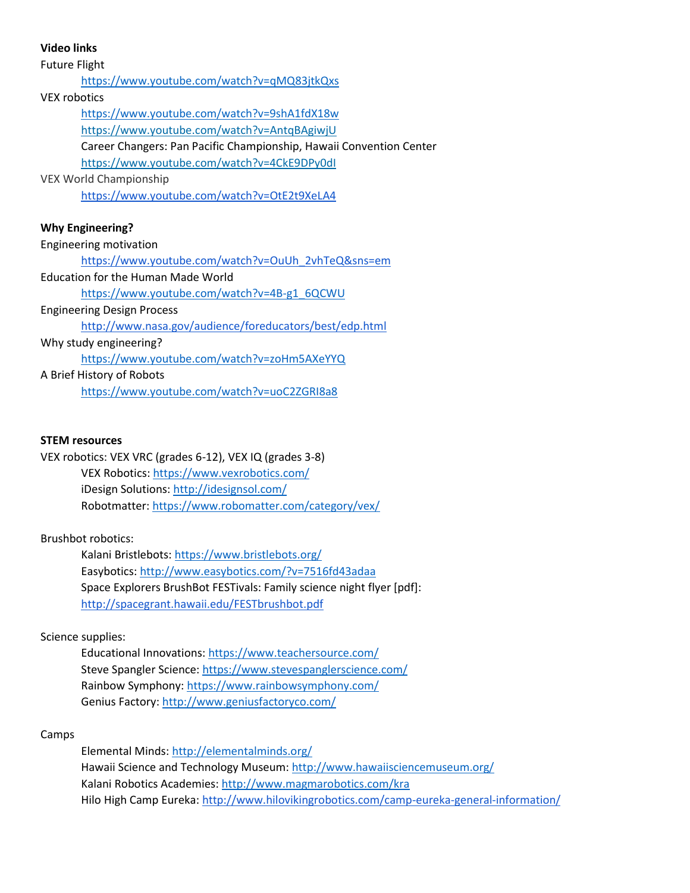**Video links** Future Flight <https://www.youtube.com/watch?v=qMQ83jtkQxs> VEX robotics <https://www.youtube.com/watch?v=9shA1fdX18w> <https://www.youtube.com/watch?v=AntqBAgiwjU> Career Changers: Pan Pacific Championship, Hawaii Convention Center <https://www.youtube.com/watch?v=4CkE9DPy0dI> VEX World Championship <https://www.youtube.com/watch?v=OtE2t9XeLA4> **Why Engineering?** Engineering motivation [https://www.youtube.com/watch?v=OuUh\\_2vhTeQ&sns=em](https://www.youtube.com/watch?v=OuUh_2vhTeQ&sns=em) Education for the Human Made World [https://www.youtube.com/watch?v=4B-g1\\_6QCWU](https://www.youtube.com/watch?v=4B-g1_6QCWU) Engineering Design Process

<http://www.nasa.gov/audience/foreducators/best/edp.html>

Why study engineering?

<https://www.youtube.com/watch?v=zoHm5AXeYYQ>

A Brief History of Robots

<https://www.youtube.com/watch?v=uoC2ZGRI8a8>

#### **STEM resources**

VEX robotics: VEX VRC (grades 6-12), VEX IQ (grades 3-8) VEX Robotics:<https://www.vexrobotics.com/> iDesign Solutions[: http://idesignsol.com/](http://idesignsol.com/) Robotmatter:<https://www.robomatter.com/category/vex/>

## Brushbot robotics:

Kalani Bristlebots:<https://www.bristlebots.org/> Easybotics:<http://www.easybotics.com/?v=7516fd43adaa> Space Explorers BrushBot FESTivals: Family science night flyer [pdf]: <http://spacegrant.hawaii.edu/FESTbrushbot.pdf>

## Science supplies:

Educational Innovations:<https://www.teachersource.com/> Steve Spangler Science[: https://www.stevespanglerscience.com/](https://www.stevespanglerscience.com/) Rainbow Symphony:<https://www.rainbowsymphony.com/> Genius Factory:<http://www.geniusfactoryco.com/>

## Camps

Elemental Minds[: http://elementalminds.org/](http://elementalminds.org/) Hawaii Science and Technology Museum:<http://www.hawaiisciencemuseum.org/> Kalani Robotics Academies[: http://www.magmarobotics.com/kra](http://www.magmarobotics.com/kra) Hilo High Camp Eureka:<http://www.hilovikingrobotics.com/camp-eureka-general-information/>